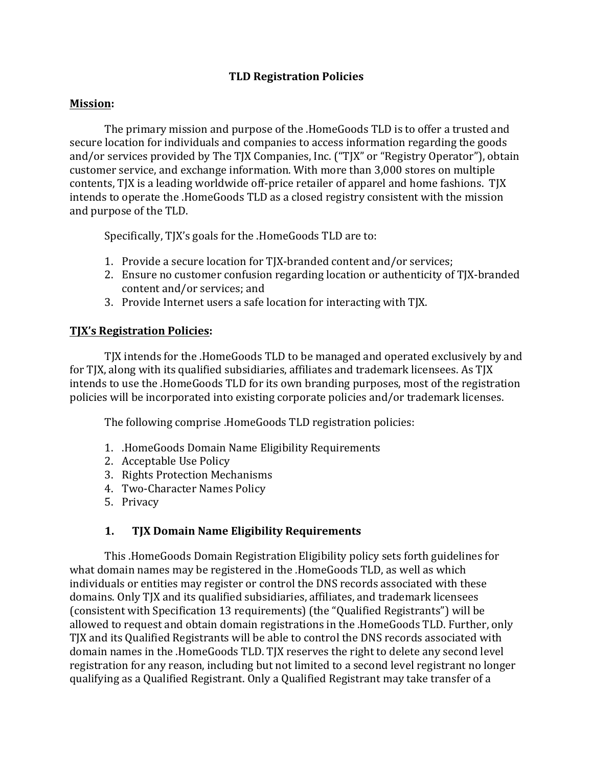### **TLD Registration Policies**

#### **Mission:**

The primary mission and purpose of the .HomeGoods TLD is to offer a trusted and secure location for individuals and companies to access information regarding the goods and/or services provided by The TJX Companies, Inc. ("TJX" or "Registry Operator"), obtain customer service, and exchange information. With more than 3,000 stores on multiple contents, TJX is a leading worldwide off-price retailer of apparel and home fashions. TJX intends to operate the .HomeGoods TLD as a closed registry consistent with the mission and purpose of the TLD.

Specifically, TJX's goals for the .HomeGoods TLD are to:

- 1. Provide a secure location for TJX-branded content and/or services;
- 2. Ensure no customer confusion regarding location or authenticity of TJX-branded content and/or services; and
- 3. Provide Internet users a safe location for interacting with TJX.

#### **TJX's Registration Policies:**

TJX intends for the .HomeGoods TLD to be managed and operated exclusively by and for TJX, along with its qualified subsidiaries, affiliates and trademark licensees. As TJX intends to use the .HomeGoods TLD for its own branding purposes, most of the registration policies will be incorporated into existing corporate policies and/or trademark licenses.

The following comprise .HomeGoods TLD registration policies:

- 1. HomeGoods Domain Name Eligibility Requirements
- 2. Acceptable Use Policy
- 3. Rights Protection Mechanisms
- 4. Two-Character Names Policy
- 5. Privacy

### **1.** TJX Domain Name Eligibility Requirements

This .HomeGoods Domain Registration Eligibility policy sets forth guidelines for what domain names may be registered in the .HomeGoods TLD, as well as which individuals or entities may register or control the DNS records associated with these domains. Only TJX and its qualified subsidiaries, affiliates, and trademark licensees (consistent with Specification 13 requirements) (the "Qualified Registrants") will be allowed to request and obtain domain registrations in the .HomeGoods TLD. Further, only TJX and its Qualified Registrants will be able to control the DNS records associated with domain names in the .HomeGoods TLD. TJX reserves the right to delete any second level registration for any reason, including but not limited to a second level registrant no longer qualifying as a Qualified Registrant. Only a Qualified Registrant may take transfer of a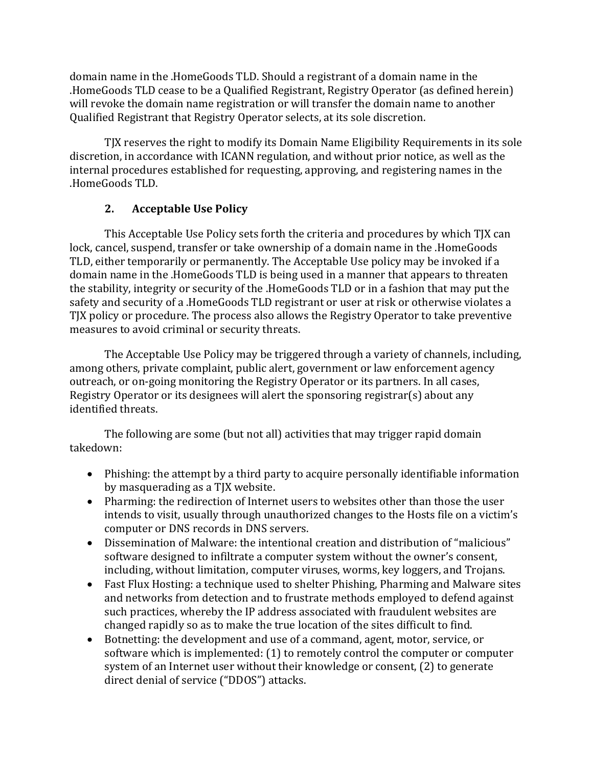domain name in the .HomeGoods TLD. Should a registrant of a domain name in the .HomeGoods TLD cease to be a Qualified Registrant, Registry Operator (as defined herein) will revoke the domain name registration or will transfer the domain name to another Qualified Registrant that Registry Operator selects, at its sole discretion.

TJX reserves the right to modify its Domain Name Eligibility Requirements in its sole discretion, in accordance with ICANN regulation, and without prior notice, as well as the internal procedures established for requesting, approving, and registering names in the .HomeGoods TLD. 

# **2.** Acceptable Use Policy

This Acceptable Use Policy sets forth the criteria and procedures by which TJX can lock, cancel, suspend, transfer or take ownership of a domain name in the .HomeGoods TLD, either temporarily or permanently. The Acceptable Use policy may be invoked if a domain name in the .HomeGoods TLD is being used in a manner that appears to threaten the stability, integrity or security of the .HomeGoods TLD or in a fashion that may put the safety and security of a .HomeGoods TLD registrant or user at risk or otherwise violates a TJX policy or procedure. The process also allows the Registry Operator to take preventive measures to avoid criminal or security threats.

The Acceptable Use Policy may be triggered through a variety of channels, including, among others, private complaint, public alert, government or law enforcement agency outreach, or on-going monitoring the Registry Operator or its partners. In all cases, Registry Operator or its designees will alert the sponsoring registrar(s) about any identified threats.

The following are some (but not all) activities that may trigger rapid domain takedown: 

- Phishing: the attempt by a third party to acquire personally identifiable information by masquerading as a TJX website.
- Pharming: the redirection of Internet users to websites other than those the user intends to visit, usually through unauthorized changes to the Hosts file on a victim's computer or DNS records in DNS servers.
- Dissemination of Malware: the intentional creation and distribution of "malicious" software designed to infiltrate a computer system without the owner's consent, including, without limitation, computer viruses, worms, key loggers, and Trojans.
- Fast Flux Hosting: a technique used to shelter Phishing, Pharming and Malware sites and networks from detection and to frustrate methods employed to defend against such practices, whereby the IP address associated with fraudulent websites are changed rapidly so as to make the true location of the sites difficult to find.
- Botnetting: the development and use of a command, agent, motor, service, or software which is implemented:  $(1)$  to remotely control the computer or computer system of an Internet user without their knowledge or consent, (2) to generate direct denial of service ("DDOS") attacks.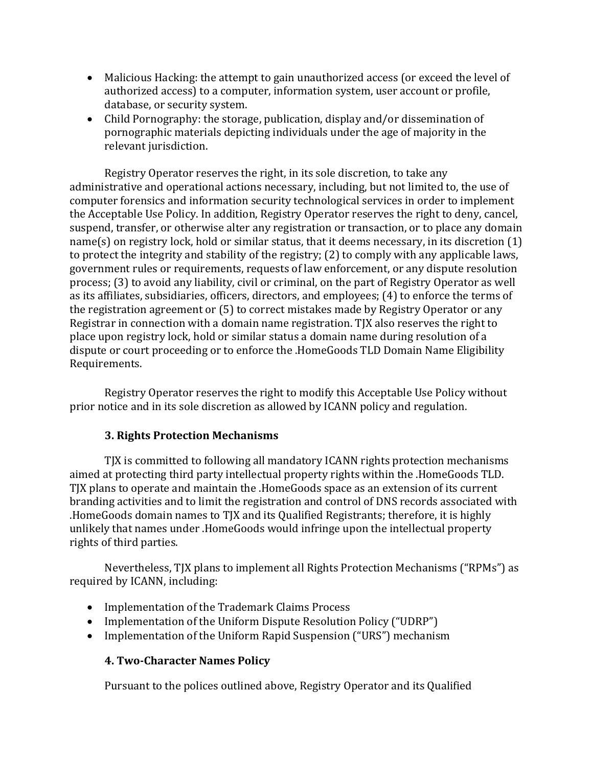- Malicious Hacking: the attempt to gain unauthorized access (or exceed the level of authorized access) to a computer, information system, user account or profile, database, or security system.
- Child Pornography: the storage, publication, display and/or dissemination of pornographic materials depicting individuals under the age of majority in the relevant jurisdiction.

Registry Operator reserves the right, in its sole discretion, to take any administrative and operational actions necessary, including, but not limited to, the use of computer forensics and information security technological services in order to implement the Acceptable Use Policy. In addition, Registry Operator reserves the right to deny, cancel, suspend, transfer, or otherwise alter any registration or transaction, or to place any domain  $name(s)$  on registry lock, hold or similar status, that it deems necessary, in its discretion  $(1)$ to protect the integrity and stability of the registry;  $(2)$  to comply with any applicable laws, government rules or requirements, requests of law enforcement, or any dispute resolution process; (3) to avoid any liability, civil or criminal, on the part of Registry Operator as well as its affiliates, subsidiaries, officers, directors, and employees; (4) to enforce the terms of the registration agreement or  $(5)$  to correct mistakes made by Registry Operator or any Registrar in connection with a domain name registration. TJX also reserves the right to place upon registry lock, hold or similar status a domain name during resolution of a dispute or court proceeding or to enforce the .HomeGoods TLD Domain Name Eligibility Requirements.

Registry Operator reserves the right to modify this Acceptable Use Policy without prior notice and in its sole discretion as allowed by ICANN policy and regulation.

### **3. Rights Protection Mechanisms**

TJX is committed to following all mandatory ICANN rights protection mechanisms aimed at protecting third party intellectual property rights within the .HomeGoods TLD. TJX plans to operate and maintain the .HomeGoods space as an extension of its current branding activities and to limit the registration and control of DNS records associated with .HomeGoods domain names to TJX and its Qualified Registrants; therefore, it is highly unlikely that names under .HomeGoods would infringe upon the intellectual property rights of third parties.

Nevertheless, TJX plans to implement all Rights Protection Mechanisms ("RPMs") as required by ICANN, including:

- Implementation of the Trademark Claims Process
- Implementation of the Uniform Dispute Resolution Policy ("UDRP")
- Implementation of the Uniform Rapid Suspension ("URS") mechanism

### **4. Two-Character Names Policy**

Pursuant to the polices outlined above, Registry Operator and its Qualified